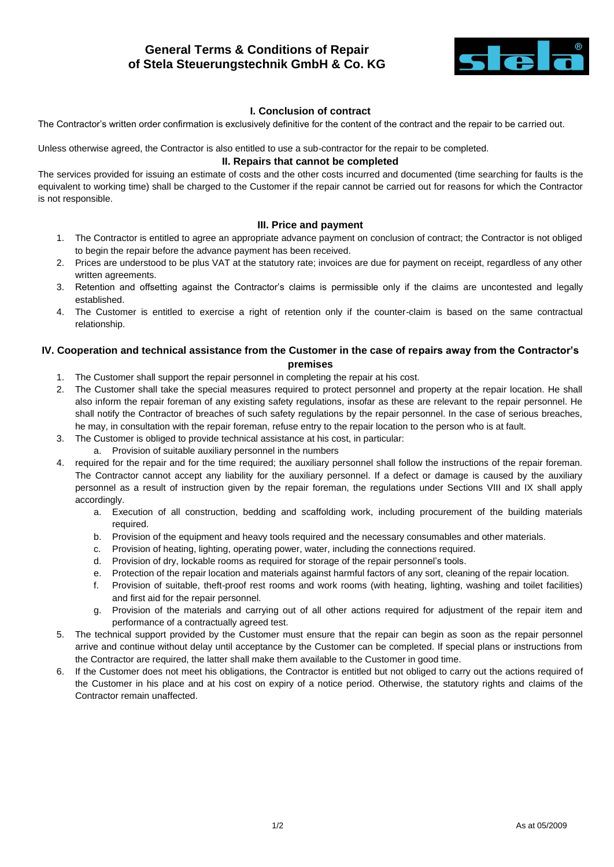# **General Terms & Conditions of Repair of Stela Steuerungstechnik GmbH & Co. KG**



## **I. Conclusion of contract**

The Contractor's written order confirmation is exclusively definitive for the content of the contract and the repair to be carried out.

Unless otherwise agreed, the Contractor is also entitled to use a sub-contractor for the repair to be completed.

#### **II. Repairs that cannot be completed**

The services provided for issuing an estimate of costs and the other costs incurred and documented (time searching for faults is the equivalent to working time) shall be charged to the Customer if the repair cannot be carried out for reasons for which the Contractor is not responsible.

## **III. Price and payment**

- 1. The Contractor is entitled to agree an appropriate advance payment on conclusion of contract; the Contractor is not obliged to begin the repair before the advance payment has been received.
- 2. Prices are understood to be plus VAT at the statutory rate; invoices are due for payment on receipt, regardless of any other written agreements.
- 3. Retention and offsetting against the Contractor's claims is permissible only if the claims are uncontested and legally established.
- 4. The Customer is entitled to exercise a right of retention only if the counter-claim is based on the same contractual relationship.

# **IV. Cooperation and technical assistance from the Customer in the case of repairs away from the Contractor's premises**

- 1. The Customer shall support the repair personnel in completing the repair at his cost.
- 2. The Customer shall take the special measures required to protect personnel and property at the repair location. He shall also inform the repair foreman of any existing safety regulations, insofar as these are relevant to the repair personnel. He shall notify the Contractor of breaches of such safety regulations by the repair personnel. In the case of serious breaches, he may, in consultation with the repair foreman, refuse entry to the repair location to the person who is at fault.
- 3. The Customer is obliged to provide technical assistance at his cost, in particular:
	- a. Provision of suitable auxiliary personnel in the numbers
- 4. required for the repair and for the time required; the auxiliary personnel shall follow the instructions of the repair foreman. The Contractor cannot accept any liability for the auxiliary personnel. If a defect or damage is caused by the auxiliary personnel as a result of instruction given by the repair foreman, the regulations under Sections VIII and IX shall apply accordingly.
	- a. Execution of all construction, bedding and scaffolding work, including procurement of the building materials required.
	- b. Provision of the equipment and heavy tools required and the necessary consumables and other materials.
	- c. Provision of heating, lighting, operating power, water, including the connections required.
	- d. Provision of dry, lockable rooms as required for storage of the repair personnel's tools.
	- e. Protection of the repair location and materials against harmful factors of any sort, cleaning of the repair location.
	- f. Provision of suitable, theft-proof rest rooms and work rooms (with heating, lighting, washing and toilet facilities) and first aid for the repair personnel.
	- g. Provision of the materials and carrying out of all other actions required for adjustment of the repair item and performance of a contractually agreed test.
- 5. The technical support provided by the Customer must ensure that the repair can begin as soon as the repair personnel arrive and continue without delay until acceptance by the Customer can be completed. If special plans or instructions from the Contractor are required, the latter shall make them available to the Customer in good time.
- 6. If the Customer does not meet his obligations, the Contractor is entitled but not obliged to carry out the actions required of the Customer in his place and at his cost on expiry of a notice period. Otherwise, the statutory rights and claims of the Contractor remain unaffected.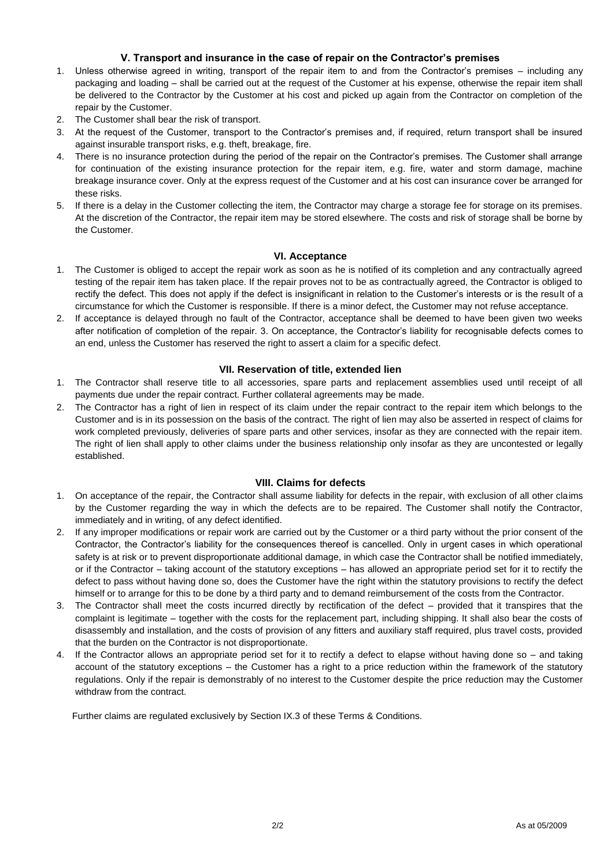# **V. Transport and insurance in the case of repair on the Contractor's premises**

- 1. Unless otherwise agreed in writing, transport of the repair item to and from the Contractor's premises including any packaging and loading – shall be carried out at the request of the Customer at his expense, otherwise the repair item shall be delivered to the Contractor by the Customer at his cost and picked up again from the Contractor on completion of the repair by the Customer.
- 2. The Customer shall bear the risk of transport.
- 3. At the request of the Customer, transport to the Contractor's premises and, if required, return transport shall be insured against insurable transport risks, e.g. theft, breakage, fire.
- 4. There is no insurance protection during the period of the repair on the Contractor's premises. The Customer shall arrange for continuation of the existing insurance protection for the repair item, e.g. fire, water and storm damage, machine breakage insurance cover. Only at the express request of the Customer and at his cost can insurance cover be arranged for these risks.
- 5. If there is a delay in the Customer collecting the item, the Contractor may charge a storage fee for storage on its premises. At the discretion of the Contractor, the repair item may be stored elsewhere. The costs and risk of storage shall be borne by the Customer.

#### **VI. Acceptance**

- 1. The Customer is obliged to accept the repair work as soon as he is notified of its completion and any contractually agreed testing of the repair item has taken place. If the repair proves not to be as contractually agreed, the Contractor is obliged to rectify the defect. This does not apply if the defect is insignificant in relation to the Customer's interests or is the result of a circumstance for which the Customer is responsible. If there is a minor defect, the Customer may not refuse acceptance.
- 2. If acceptance is delayed through no fault of the Contractor, acceptance shall be deemed to have been given two weeks after notification of completion of the repair. 3. On acceptance, the Contractor's liability for recognisable defects comes to an end, unless the Customer has reserved the right to assert a claim for a specific defect.

#### **VII. Reservation of title, extended lien**

- 1. The Contractor shall reserve title to all accessories, spare parts and replacement assemblies used until receipt of all payments due under the repair contract. Further collateral agreements may be made.
- 2. The Contractor has a right of lien in respect of its claim under the repair contract to the repair item which belongs to the Customer and is in its possession on the basis of the contract. The right of lien may also be asserted in respect of claims for work completed previously, deliveries of spare parts and other services, insofar as they are connected with the repair item. The right of lien shall apply to other claims under the business relationship only insofar as they are uncontested or legally established.

#### **VIII. Claims for defects**

- 1. On acceptance of the repair, the Contractor shall assume liability for defects in the repair, with exclusion of all other claims by the Customer regarding the way in which the defects are to be repaired. The Customer shall notify the Contractor, immediately and in writing, of any defect identified.
- 2. If any improper modifications or repair work are carried out by the Customer or a third party without the prior consent of the Contractor, the Contractor's liability for the consequences thereof is cancelled. Only in urgent cases in which operational safety is at risk or to prevent disproportionate additional damage, in which case the Contractor shall be notified immediately, or if the Contractor – taking account of the statutory exceptions – has allowed an appropriate period set for it to rectify the defect to pass without having done so, does the Customer have the right within the statutory provisions to rectify the defect himself or to arrange for this to be done by a third party and to demand reimbursement of the costs from the Contractor.
- 3. The Contractor shall meet the costs incurred directly by rectification of the defect provided that it transpires that the complaint is legitimate – together with the costs for the replacement part, including shipping. It shall also bear the costs of disassembly and installation, and the costs of provision of any fitters and auxiliary staff required, plus travel costs, provided that the burden on the Contractor is not disproportionate.
- 4. If the Contractor allows an appropriate period set for it to rectify a defect to elapse without having done so and taking account of the statutory exceptions – the Customer has a right to a price reduction within the framework of the statutory regulations. Only if the repair is demonstrably of no interest to the Customer despite the price reduction may the Customer withdraw from the contract.

Further claims are regulated exclusively by Section IX.3 of these Terms & Conditions.